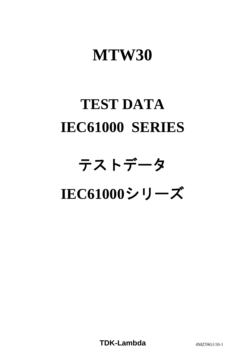# **MTW30**

# **TEST DATA IEC61000 SERIES**

# テストデータ **IEC61000**シリーズ

**TDK-Lambda** 4MZ58G110-1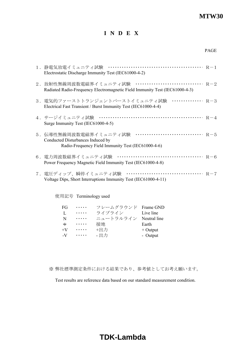#### **MTW30**

#### **I N D E X**

| 1.静電気放電イミュニティ試験<br>Electrostatic Discharge Immunity Test (IEC61000-4-2)                                                                    |  |
|--------------------------------------------------------------------------------------------------------------------------------------------|--|
| 2. 放射性無線周波数電磁界イミュニティ試験 ································ R-2<br>Radiated Radio-Frequency Electromagnetic Field Immunity Test (IEC61000-4-3) |  |
| $\cdots$ R-3<br>3.電気的ファーストトランジェントバーストイミュニティ試験<br>Electrical Fast Transient / Burst Immunity Test (IEC61000-4-4)                            |  |
| 4.サージイミュニティ試験<br>Surge Immunity Test (IEC61000-4-5)                                                                                        |  |
| $R-5$<br>5.伝導性無線周波数電磁界イミュニティ試験<br>Conducted Disturbances Induced by<br>Radio-Frequency Field Immunity Test (IEC61000-4-6)                  |  |
| Power Frequency Magnetic Field Immunity Test (IEC61000-4-8)                                                                                |  |
| Voltage Dips, Short Interruptions Immunity Test (IEC61000-4-11)                                                                            |  |

使用記号 Terminology used

| FG           | . | フレームグラウンド Frame GND    |            |
|--------------|---|------------------------|------------|
| Н.           | . | ライブライン                 | Live line  |
| <sup>N</sup> | . | ニュートラルライン Neutral line |            |
| $\pm$        | . | 接地                     | Earth      |
| $+V$         | . | +出力                    | $+$ Output |
| $-V$         | . | - 出力                   | - Output   |

※ 弊社標準測定条件における結果であり、参考値としてお考え願います。

Test results are reference data based on our standard measurement condition.

# **TDK-Lambda**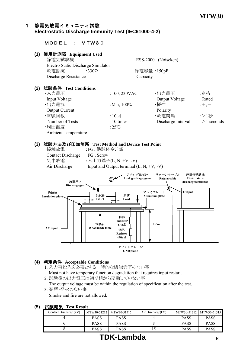### 1. 静電気放電イミュニティ試験

#### **Electrostatic Discharge Immunity Test (IEC61000-4-2)**

#### MODEL : MTW30

#### **(1)** 使用計測器 **Equipment Used**

| 静電気試験機               |                                    | :ESS-2000 (Noiseken) |
|----------------------|------------------------------------|----------------------|
|                      | Electro Static Discharge Simulator |                      |
| 放電抵抗                 | :330 $\Omega$                      | 静電容量: 150pF          |
| Discharge Resistance |                                    | Capacity             |

#### **(2)** 試験条件 **Test Conditions**

| ・入力電圧                      | $:100,230$ VAC  | ・出力電圧              | :定格          |
|----------------------------|-----------------|--------------------|--------------|
| Input Voltage              |                 | Output Voltage     | Rated        |
| ・出力電流                      | : Min, $100\%$  | ・極性                | $;+, -$      |
| <b>Output Current</b>      |                 | Polarity           |              |
| ・試験回数                      | : $10\Box$      | ・放電間隔              | :>1秒         |
| Number of Tests            | 10 times        | Discharge Interval | $>1$ seconds |
| ・周囲温度                      | :25 $\degree$ C |                    |              |
| <b>Ambient Temperature</b> |                 |                    |              |

#### **(3)** 試験方法及び印加箇所 **Test Method and Device Test Point**

Contact Discharge FG , Screw

 接触放電 :FG、供試体ネジ部 気中放電 :入出力端子(L, N, +V, -V) Air Discharge Input and Output terminal  $(L, N, +V, -V)$ 



#### **(4)** 判定条件 **Acceptable Conditions**

- 1. 入力再投入を必要とする一時的な機能低下のない事 Must not have temporary function degradation that requires input restart.
- 2. 試験後の出力電圧は初期値から変動していない事

The output voltage must be within the regulation of specification after the test.

3. 発煙・発火のない事

Smoke and fire are not allowed.

#### **(5)** 試験結果 **Test Result**

| <b>Mr. Andrew Address Andrew</b> |             |                         |                   |             |                         |
|----------------------------------|-------------|-------------------------|-------------------|-------------|-------------------------|
| Contact Discharge (kV)           |             | MTW30-51212 MTW30-51515 | Air Discharge(kV) |             | MTW30-51212 MTW30-51515 |
|                                  | <b>PASS</b> | <b>PASS</b>             |                   | <b>PASS</b> | <b>PASS</b>             |
|                                  | <b>PASS</b> | <b>PASS</b>             |                   | <b>PASS</b> | <b>PASS</b>             |
|                                  | <b>PASS</b> | <b>PASS</b>             |                   | <b>PASS</b> | <b>PASS</b>             |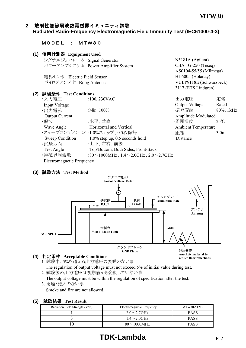:AS0104-55/55 (Milmega)

 $2117$  (ETG  $\vec{x}$ )  $\vec{y}$ 

Anechoic material to reduce floor reflections

#### 2. 放射性無線周波数電磁界イミュニティ試験 **Radiated Radio-Frequency Electromagnetic Field Immunity Test (IEC61000-4-3)**

| MODEL : MTW30                      |  |  |
|------------------------------------|--|--|
| 4\ /士[四品_2010.020 m · · · · / TT 1 |  |  |

**(1)** 使用計測器 **Equipment Used** シグナルジェネレータ Signal Generator :N5181A (Agilent) パワーアンプシステム Power Amplifier System :CBA 1G-250 (Teseq)

電界センサ Electric Field Sensor :HI-6005 (Holaday) バイログアンテナ Bilog Antenna :VULP9118E (Schwarzbeck)

|     |                       |                                                          | $: 311 / (E1S)$ Lindgren)  |                  |
|-----|-----------------------|----------------------------------------------------------|----------------------------|------------------|
| (2) | 試験条件 Test Conditions  |                                                          |                            |                  |
|     | ・入力電圧                 | $:100,230$ VAC                                           | ・出力電圧                      | :定格              |
|     | <b>Input Voltage</b>  |                                                          | Output Voltage             | Rated            |
|     | ・出力電流                 | : Min, $100\%$                                           | ・振幅変調                      | $:80\%$ , 1 kHz  |
|     | <b>Output Current</b> |                                                          | Amplitude Modulated        |                  |
|     | ・偏波                   | :水平、垂直                                                   | ・周囲温度                      | :25 $\mathrm{C}$ |
|     | Wave Angle            | Horizontal and Vertical                                  | <b>Ambient Temperature</b> |                  |
|     |                       | ・スイープコンディション :1.0%ステップ、0.5秒保持                            | ・距離                        | :3.0m            |
|     | Sweep Condition       | $1.0\%$ step up, 0.5 seconds hold                        | Distance                   |                  |
|     | ・試験方向                 | :上下、左右、前後                                                |                            |                  |
|     | Test Angle            | Top/Bottom, Both Sides, Front/Back                       |                            |                  |
|     | ・電磁界周波数               | :80 $\sim$ 1000MHz, 1.4 $\sim$ 2.0GHz, 2.0 $\sim$ 2.7GHz |                            |                  |

Electromagnetic Frequency

#### **(3)** 試験方法 **Test Method**



#### **(4)** 判定条件 **Acceptable Conditions**

- 1. 試験中、5%を超える出力電圧の変動のない事 The regulation of output voltage must not exceed 5% of initial value during test.
- 2. 試験後の出力電圧は初期値から変動していない事 The output voltage must be within the regulation of specification after the test.
- 3 発煙・発火のない事

Smoke and fire are not allowed.

| 試験結果<br>(5) | <b>Test Result</b> |
|-------------|--------------------|
|-------------|--------------------|

| .                              |                           |             |  |  |
|--------------------------------|---------------------------|-------------|--|--|
| Radiation Field Strength (V/m) | Electromagnetic Frequency | MTW30-51212 |  |  |
|                                | $2.0 \sim 2.7$ GHz        | <b>PASS</b> |  |  |
|                                | $1.4\sim2.0$ GHz          | <b>PASS</b> |  |  |
|                                | $80\sim1000$ MHz          | <b>PASS</b> |  |  |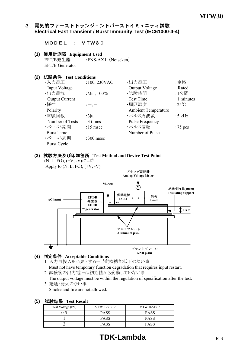#### 3.電気的ファーストトランジェントバーストイミュニティ試験 **Electrical Fast Transient / Burst Immunity Test (IEC61000-4-4)**

#### MODEL : MTW30

#### **(1)** 使用計測器 **Equipment Used**

EFT/B発生器 :FNS-AX II (Noiseken) EFT/B Generator

#### **(2)** 試験条件 **Test Conditions**

| ・入力電圧                 | :100, 230VAC   | ・出力電圧                      | :定格       |
|-----------------------|----------------|----------------------------|-----------|
| Input Voltage         |                | Output Voltage             | Rated     |
| ·出力電流                 | : Min, $100\%$ | ・試験時間                      | :1分間      |
| <b>Output Current</b> |                | <b>Test Time</b>           | 1 minutes |
| ・極性                   | $;+, -$        | ・周囲温度                      | :25°C     |
| Polarity              |                | <b>Ambient Temperature</b> |           |
| ・試験回数                 | :3回            | ・パルス周波数                    | :5 $kHz$  |
| Number of Tests       | 3 times        | Pulse Frequency            |           |
| ・バースト期間               | $:15$ msec     | ・パルス個数                     | $:75$ pcs |
| <b>Burst Time</b>     |                | Number of Pulse            |           |
| ・バースト周期               | :300 msec      |                            |           |
| <b>Burst Cycle</b>    |                |                            |           |

#### **(3)** 試験方法及び印加箇所 **Test Method and Device Test Point**

(N, L, FG), (+V, -V)に印加 Apply to  $(N, L, FG)$ ,  $(+V, -V)$ .



#### **(4)** 判定条件 **Acceptable Conditions**

- 1. 入力再投入を必要とする一時的な機能低下のない事 Must not have temporary function degradation that requires input restart.
- 2. 試験後の出力電圧は初期値から変動していない事
- The output voltage must be within the regulation of specification after the test. 3. 発煙・発火のない事

Smoke and fire are not allowed.

| 訊駅和米 I est Result |             |             |  |  |  |  |
|-------------------|-------------|-------------|--|--|--|--|
| Test Voltage (kV) | MTW30-51212 | MTW30-51515 |  |  |  |  |
|                   | <b>PASS</b> | <b>PASS</b> |  |  |  |  |
|                   | <b>PASS</b> | <b>PASS</b> |  |  |  |  |
|                   | <b>PASS</b> | <b>PASS</b> |  |  |  |  |

#### **(5)** 試験結果 **Test Result**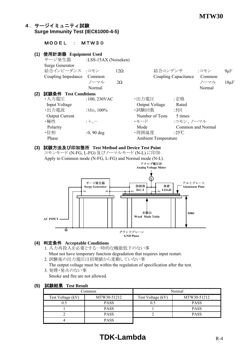#### 4.サージイミュニティ試験 **Surge Immunity Test (IEC61000-4-5)**

#### MODEL : MTW30

#### **(1)** 使用計測器 **Equipment Used** サージ発生器 :LSS-15AX (Noiseken) Surge Generator 結合インピーダンス :コモン 12Ω 結合コンデンサ :コモン 9μF Coupling Impedance Common Coupling Capacitance Common  $2\Omega$  20 20  $2\Omega$  20  $2\Omega$   $2\Omega$   $2\Omega$   $2\Omega$   $2\Omega$   $2\Omega$   $2\Omega$   $2\Omega$   $2\Omega$   $2\Omega$   $2\Omega$   $2\Omega$   $2\Omega$   $2\Omega$   $2\Omega$   $2\Omega$   $2\Omega$   $2\Omega$   $2\Omega$   $2\Omega$   $2\Omega$   $2\Omega$   $2\Omega$   $2\Omega$  Normal Normal Normal Normal Normal Normal Normal Normal Normal Normal Normal Normal Normal Normal Normal Normal Normal Normal Normal Normal Normal Normal Normal Normal Normal Normal Normal Normal Normal Normal Normal Norma **(2)** 試験条件 **Test Conditions** •入力電圧 :100,230VAC •出力電圧 :定格 Input Voltage **Containers** Cutton Cutton Cutton Cutton Cutton Cutton Cutton Cutton Cutton Cutton Cutton Cutton Cutton Cutton Cutton Cutton Cutton Cutton Cutton Cutton Cutton Cutton Cutton Cutton Cutton Cutton Cutton Cutton •出力電流 :Min, 100% ・試験回数 :5回 Output Current Number of Tests 5 times ・極性 :+,- ・モード :コモン、ノーマル Polarity **Mode** Common and Normal Common and Normal ・位相  $:0, 90$  deg  $\qquad \qquad$  ・周囲温度  $:25^{\circ}\text{C}$ Phase Ambient Temperature **(3)** 試験方法及び印加箇所 **Test Method and Device Test Point**

コモンモード (N-FG, L-FG) 及びノーマルモード (N-L) に印加

Apply to Common mode (N-FG, L-FG) and Normal mode (N-L).



#### **(4)** 判定条件 **Acceptable Conditions**

- 1. 入力再投入を必要とする一時的な機能低下のない事
- Must not have temporary function degradation that requires input restart.

2. 試験後の出力電圧は初期値から変動していない事

 The output voltage must be within the regulation of specification after the test. 3. 発煙・発火のない事

Smoke and fire are not allowed.

| .      |                   |             |                   |             |  |
|--------|-------------------|-------------|-------------------|-------------|--|
| Common |                   |             | Normal            |             |  |
|        | Test Voltage (kV) | MTW30-51212 | Test Voltage (kV) | MTW30-51212 |  |
|        |                   | <b>PASS</b> | 0.5               | <b>PASS</b> |  |
|        |                   | <b>PASS</b> |                   | <b>PASS</b> |  |
|        |                   | <b>PASS</b> |                   | <b>PASS</b> |  |
|        |                   | <b>PASS</b> |                   |             |  |

#### **(5)** 試験結果 **Test Result**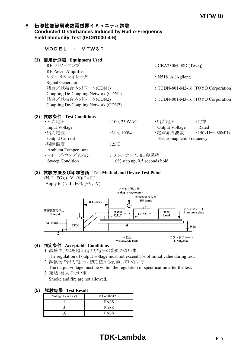#### 5. 伝導性無線周波数電磁界イミュニティ試験 **Conducted Disturbances Induced by Radio-Frequency Field Immunity Test (IEC61000-4-6)**

| 使用計測器 Equipment Used<br>(1)         |                  |                                     |                      |
|-------------------------------------|------------------|-------------------------------------|----------------------|
| RF パワーアンプ                           |                  | : $CBA230M-08D$ (Teseq)             |                      |
| RF Power Amplifier                  |                  |                                     |                      |
| シグナルジェネレータ                          |                  | : $N5181A$ (Agilent)                |                      |
| Signal Generator                    |                  |                                     |                      |
| 結合/減結合ネットワーク(CDN1)                  |                  | : TCDN-801-M2-16 (TOYO Corporation) |                      |
| Coupling De-Coupling Network (CDN1) |                  |                                     |                      |
| 結合/減結合ネットワーク(CDN2)                  |                  | : TCDN-801-M3-16 (TOYO Corporation) |                      |
|                                     |                  |                                     |                      |
| Coupling De-Coupling Network (CDN2) |                  |                                     |                      |
|                                     |                  |                                     |                      |
| 試験条件 Test Conditions<br>(2)         |                  |                                     |                      |
| ·入力電圧                               | $:100,230$ VAC   | ・出力電圧                               | :定格                  |
| Input Voltage                       |                  | Output Voltage                      | Rated                |
| ・出力電流                               | : Min, $100\%$   | ・電磁界周波数                             | :150kHz $\sim$ 80MHz |
| <b>Output Current</b>               |                  | <b>Electromagnetic Frequency</b>    |                      |
| ・周囲温度                               | :25 $\degree$ C  |                                     |                      |
| <b>Ambient Temperature</b>          |                  |                                     |                      |
| ・スイープ・コンディション                       | :1.0%ステップ、0.5秒保持 |                                     |                      |

#### **(3)** 試験方法及び印加箇所 **Test Method and Device Test Point**

(N, L, FG), (+V, -V)に印加 Apply to  $(N, L, FG)$ ,  $(+V, -V)$ .



#### **(4)** 判定条件 **Acceptable Conditions**

1. 試験中、5%を超える出力電圧の変動のない事

 The regulation of output voltage must not exceed 5% of initial value during test. 2. 試験後の出力電圧は初期値から変動していない事

The output voltage must be within the regulation of specification after the test.

3. 発煙・発火のない事

Smoke and fire are not allowed.

| ---------         |             |  |  |
|-------------------|-------------|--|--|
| Voltage Level (V) | MTW30-51212 |  |  |
|                   | <b>PASS</b> |  |  |
|                   | <b>PASS</b> |  |  |
|                   | <b>PASS</b> |  |  |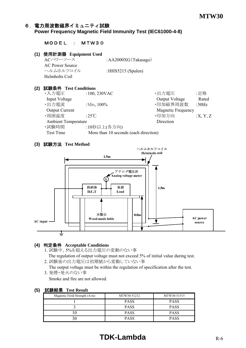#### 6.電力周波数磁界イミュニティ試験 **Power Frequency Magnetic Field Immunity Test (IEC61000-4-8)**

#### MODEL : MTW30

#### **(1)** 使用計測器 **Equipment Used**

ACパワーソース :AA2000XG(Takasago) AC Power Source ヘルムホルツコイル :HHS5215 (Spulen) Helmholts Coil

#### **(2)** 試験条件 **Test Conditions**

•入力電圧 :100, 230VAC · · 出力電圧 : 定格 Input Voltage Rated •出力電流 (  $\cdot$  :Min, 100% ) (  $\cdot$  - 印加磁界周波数 (  $\cdot$   $\cdot$  50Hz Output Current Magnetic Frequency •周囲温度  $:25^{\circ}\text{C}$   $\qquad \qquad$  •印加方向  $:X, Y, Z$ Ambient Temperature Direction ·試験時間 :10秒以上(各方向) Test Time More than 10 seconds (each direction)

#### **(3)** 試験方法 **Test Method**



#### **(4)** 判定条件 **Acceptable Conditions**

1. 試験中、5%を超える出力電圧の変動のない事

 The regulation of output voltage must not exceed 5% of initial value during test. 2. 試験後の出力電圧は初期値から変動していない事

The output voltage must be within the regulation of specification after the test.

3. 発煙・発火のない事

Smoke and fire are not allowed.

#### **(5)** 試験結果 **Test Result**

| Magnetic Field Strength $(A/m)$ | MTW30-51212 | MTW30-51515 |
|---------------------------------|-------------|-------------|
|                                 | <b>PASS</b> | <b>PASS</b> |
|                                 | <b>PASS</b> | <b>PASS</b> |
|                                 | <b>PASS</b> | <b>PASS</b> |
|                                 | <b>PASS</b> | <b>PASS</b> |